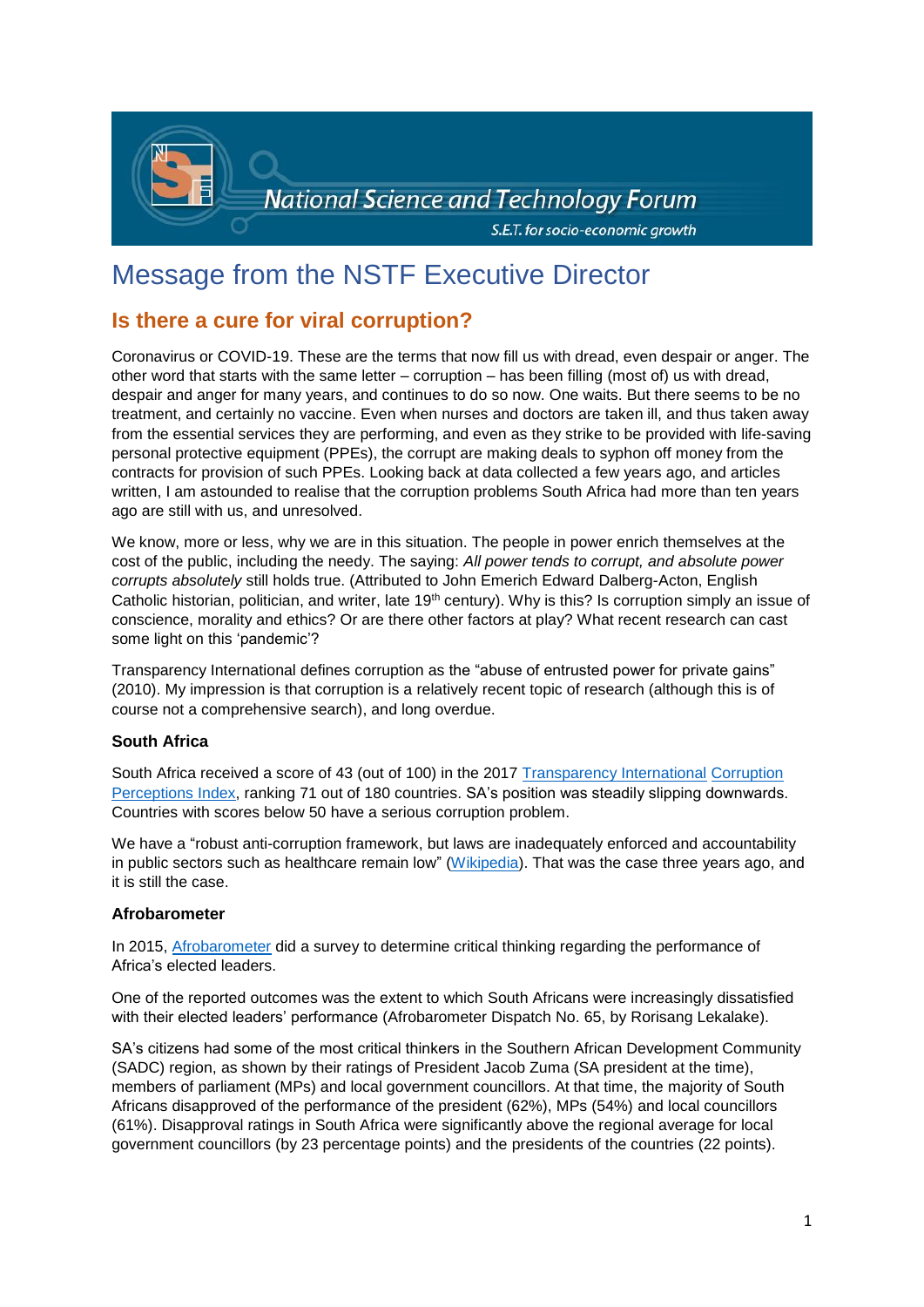

# Message from the NSTF Executive Director

# **Is there a cure for viral corruption?**

Coronavirus or COVID-19. These are the terms that now fill us with dread, even despair or anger. The other word that starts with the same letter – corruption – has been filling (most of) us with dread, despair and anger for many years, and continues to do so now. One waits. But there seems to be no treatment, and certainly no vaccine. Even when nurses and doctors are taken ill, and thus taken away from the essential services they are performing, and even as they strike to be provided with life-saving personal protective equipment (PPEs), the corrupt are making deals to syphon off money from the contracts for provision of such PPEs. Looking back at data collected a few years ago, and articles written, I am astounded to realise that the corruption problems South Africa had more than ten years ago are still with us, and unresolved.

We know, more or less, why we are in this situation. The people in power enrich themselves at the cost of the public, including the needy. The saying: *All power tends to corrupt, and absolute power corrupts absolutely* still holds true. (Attributed to John Emerich Edward Dalberg-Acton, English Catholic historian, politician, and writer, late 19<sup>th</sup> century). Why is this? Is corruption simply an issue of conscience, morality and ethics? Or are there other factors at play? What recent research can cast some light on this 'pandemic'?

Transparency International defines corruption as the "abuse of entrusted power for private gains" (2010). My impression is that corruption is a relatively recent topic of research (although this is of course not a comprehensive search), and long overdue.

# **South Africa**

South Africa received a score of 43 (out of 100) in the 2017 [Transparency International](https://en.wikipedia.org/wiki/Transparency_International) [Corruption](https://en.wikipedia.org/wiki/Corruption_Perceptions_Index)  [Perceptions Index,](https://en.wikipedia.org/wiki/Corruption_Perceptions_Index) ranking 71 out of 180 countries. SA's position was steadily slipping downwards. Countries with scores below 50 have a serious corruption problem.

We have a "robust anti-corruption framework, but laws are inadequately enforced and accountability in public sectors such as healthcare remain low" [\(Wikipedia\)](https://en.wikipedia.org/wiki/Corruption_in_South_Africa#cite_note-6). That was the case three years ago, and it is still the case.

#### **Afrobarometer**

In 2015, [Afrobarometer](http://afrobarometer.org/sites/default/files/publications/Dispatches/ab_r6_dispatchno65_south_africa_leadership_performance_24112015.pdf) did a survey to determine critical thinking regarding the performance of Africa's elected leaders.

One of the reported outcomes was the extent to which South Africans were increasingly dissatisfied with their elected leaders' performance (Afrobarometer Dispatch No. 65, by Rorisang Lekalake).

SA's citizens had some of the most critical thinkers in the Southern African Development Community (SADC) region, as shown by their ratings of President Jacob Zuma (SA president at the time), members of parliament (MPs) and local government councillors. At that time, the majority of South Africans disapproved of the performance of the president (62%), MPs (54%) and local councillors (61%). Disapproval ratings in South Africa were significantly above the regional average for local government councillors (by 23 percentage points) and the presidents of the countries (22 points).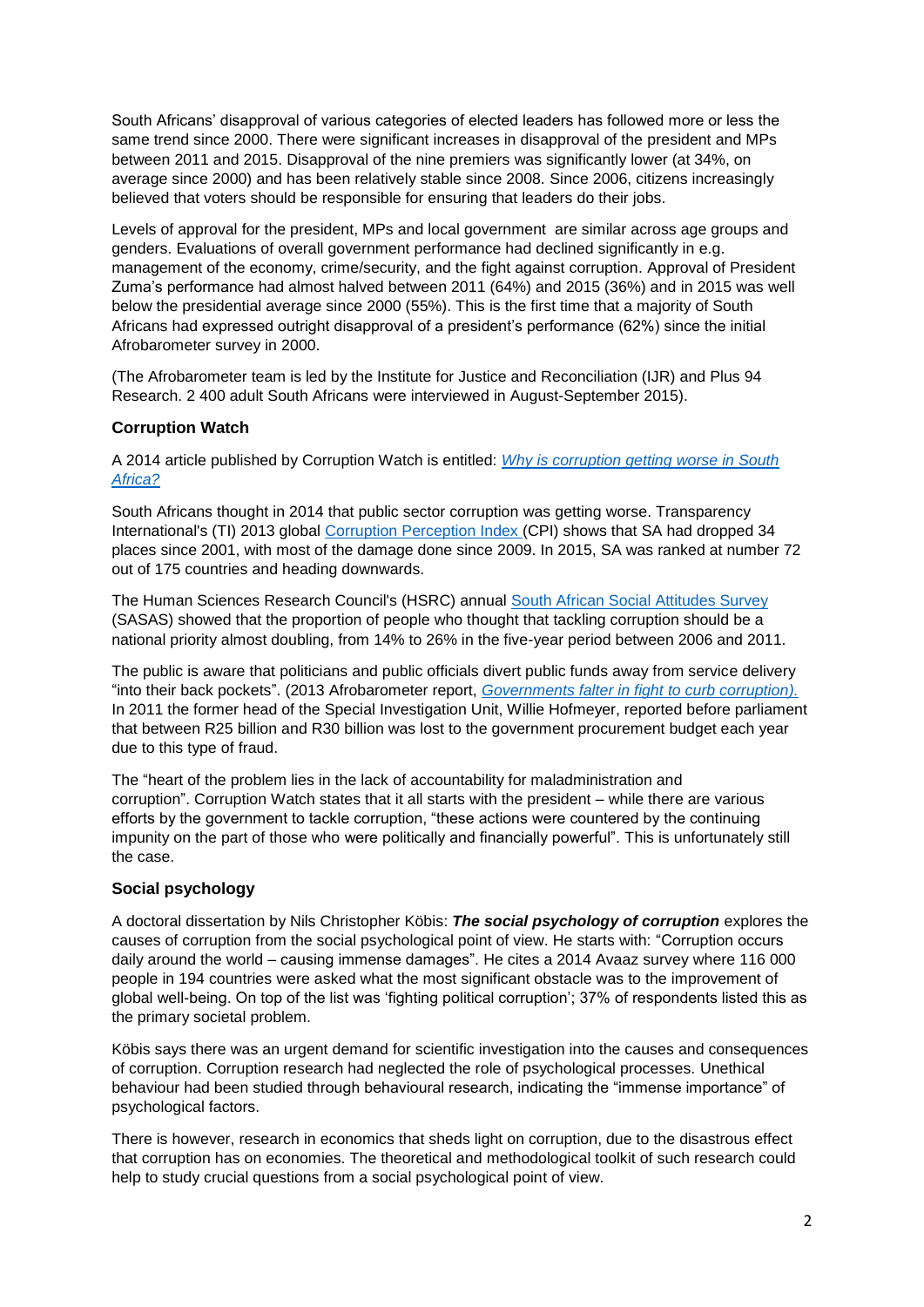South Africans' disapproval of various categories of elected leaders has followed more or less the same trend since 2000. There were significant increases in disapproval of the president and MPs between 2011 and 2015. Disapproval of the nine premiers was significantly lower (at 34%, on average since 2000) and has been relatively stable since 2008. Since 2006, citizens increasingly believed that voters should be responsible for ensuring that leaders do their jobs.

Levels of approval for the president, MPs and local government are similar across age groups and genders. Evaluations of overall government performance had declined significantly in e.g. management of the economy, crime/security, and the fight against corruption. Approval of President Zuma's performance had almost halved between 2011 (64%) and 2015 (36%) and in 2015 was well below the presidential average since 2000 (55%). This is the first time that a majority of South Africans had expressed outright disapproval of a president's performance (62%) since the initial Afrobarometer survey in 2000.

(The Afrobarometer team is led by the Institute for Justice and Reconciliation (IJR) and Plus 94 Research. 2 400 adult South Africans were interviewed in August-September 2015).

#### **Corruption Watch**

A 2014 article published by Corruption Watch is entitled: *[Why is corruption getting worse in South](https://www.corruptionwatch.org.za/why-is-corruption-getting-worse-in-south-africa/)  [Africa?](https://www.corruptionwatch.org.za/why-is-corruption-getting-worse-in-south-africa/)*

South Africans thought in 2014 that public sector corruption was getting worse. Transparency International's (TI) 2013 global [Corruption Perception Index](https://www.corruptionwatch.org.za/content/cpi-2013-%E2%80%93-south-africa-african-context) (CPI) shows that SA had dropped 34 places since 2001, with most of the damage done since 2009. In 2015, SA was ranked at number 72 out of 175 countries and heading downwards.

The Human Sciences Research Council's (HSRC) annual [South African Social Attitudes Survey](http://www.hsrc.ac.za/en/departments/sasas) (SASAS) showed that the proportion of people who thought that tackling corruption should be a national priority almost doubling, from 14% to 26% in the five-year period between 2006 and 2011.

The public is aware that politicians and public officials divert public funds away from service delivery "into their back pockets". (2013 Afrobarometer report, *[Governments falter in fight to curb corruption\)](http://afrobarometer.org/sites/default/files/publications/Briefing%20paper/ab_r5_policypaperno4.pdf).* In 2011 the former head of the Special Investigation Unit, Willie Hofmeyer, reported before parliament that between R25 billion and R30 billion was lost to the government procurement budget each year due to this type of fraud.

The "heart of the problem lies in the lack of accountability for maladministration and corruption". Corruption Watch states that it all starts with the president – while there are various efforts by the government to tackle corruption, "these actions were countered by the continuing impunity on the part of those who were politically and financially powerful". This is unfortunately still the case.

# **Social psychology**

A doctoral dissertation by Nils Christopher Köbis: *The social psychology of corruption* explores the causes of corruption from the social psychological point of view. He starts with: "Corruption occurs daily around the world – causing immense damages". He cites a 2014 Avaaz survey where 116 000 people in 194 countries were asked what the most significant obstacle was to the improvement of global well-being. On top of the list was 'fighting political corruption'; 37% of respondents listed this as the primary societal problem.

Köbis says there was an urgent demand for scientific investigation into the causes and consequences of corruption. Corruption research had neglected the role of psychological processes. Unethical behaviour had been studied through behavioural research, indicating the "immense importance" of psychological factors.

There is however, research in economics that sheds light on corruption, due to the disastrous effect that corruption has on economies. The theoretical and methodological toolkit of such research could help to study crucial questions from a social psychological point of view.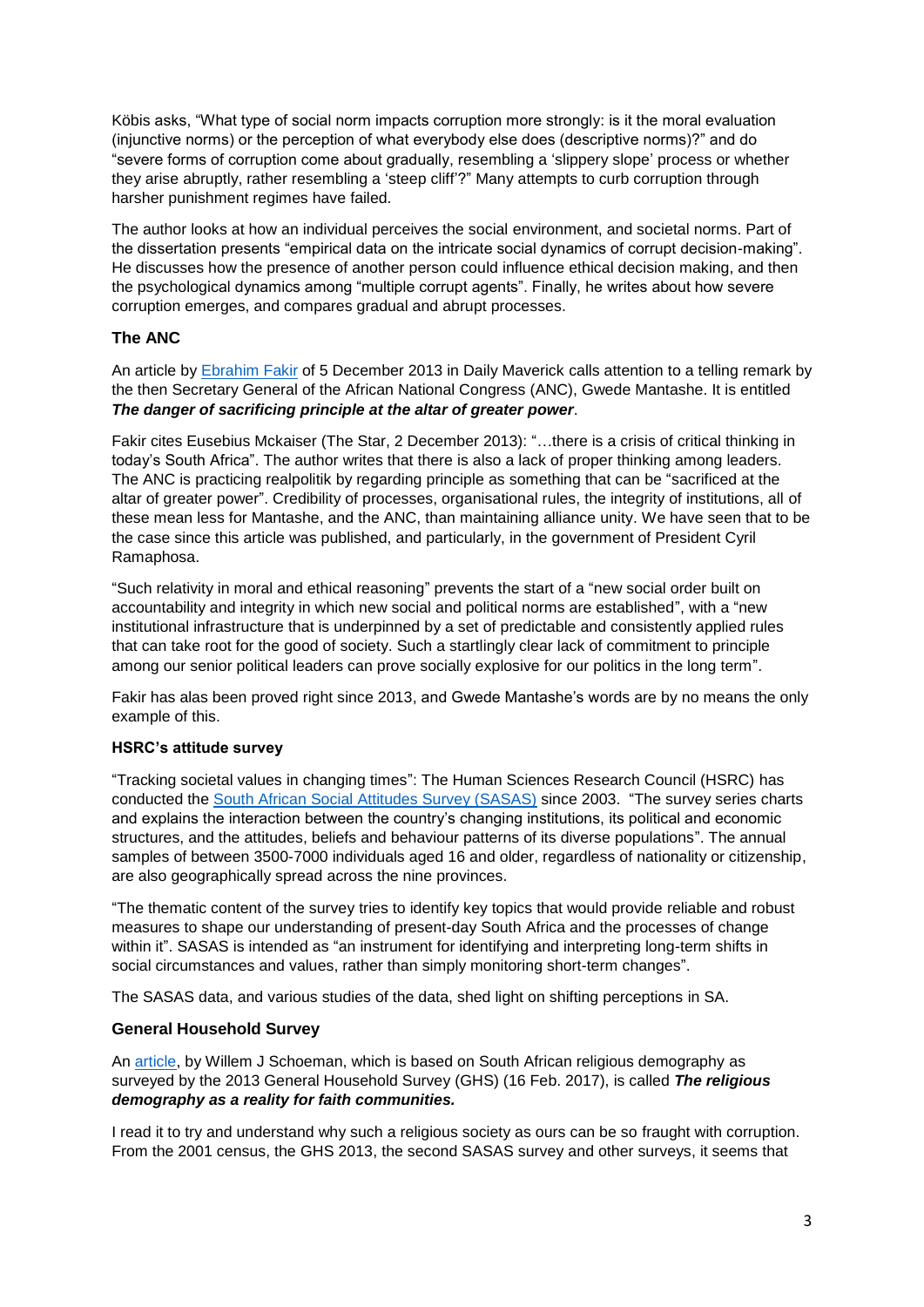Köbis asks, "What type of social norm impacts corruption more strongly: is it the moral evaluation (injunctive norms) or the perception of what everybody else does (descriptive norms)?" and do "severe forms of corruption come about gradually, resembling a 'slippery slope' process or whether they arise abruptly, rather resembling a 'steep cliff'?" Many attempts to curb corruption through harsher punishment regimes have failed.

The author looks at how an individual perceives the social environment, and societal norms. Part of the dissertation presents "empirical data on the intricate social dynamics of corrupt decision-making". He discusses how the presence of another person could influence ethical decision making, and then the psychological dynamics among "multiple corrupt agents". Finally, he writes about how severe corruption emerges, and compares gradual and abrupt processes.

# **The ANC**

An article by [Ebrahim Fakir](https://www.dailymaverick.co.za/opinionista/2013-12-05-the-danger-of-sacrificing-principle-at-the-altar-of-greater-power/#.UqG1r406fWQ) of 5 December 2013 in Daily Maverick calls attention to a telling remark by the then Secretary General of the African National Congress (ANC), Gwede Mantashe. It is entitled *The danger of sacrificing principle at the altar of greater power*.

Fakir cites Eusebius Mckaiser (The Star, 2 December 2013): "…there is a crisis of critical thinking in today's South Africa". The author writes that there is also a lack of proper thinking among leaders. The ANC is practicing realpolitik by regarding principle as something that can be "sacrificed at the altar of greater power". Credibility of processes, organisational rules, the integrity of institutions, all of these mean less for Mantashe, and the ANC, than maintaining alliance unity. We have seen that to be the case since this article was published, and particularly, in the government of President Cyril Ramaphosa.

"Such relativity in moral and ethical reasoning" prevents the start of a "new social order built on accountability and integrity in which new social and political norms are established", with a "new institutional infrastructure that is underpinned by a set of predictable and consistently applied rules that can take root for the good of society. Such a startlingly clear lack of commitment to principle among our senior political leaders can prove socially explosive for our politics in the long term".

Fakir has alas been proved right since 2013, and Gwede Mantashe's words are by no means the only example of this.

# **HSRC's attitude survey**

"Tracking societal values in changing times": The Human Sciences Research Council (HSRC) has conducted the South African Social [Attitudes Survey \(SASAS\)](http://www.hsrc.ac.za/en/departments/sasas) since 2003. "The survey series charts and explains the interaction between the country's changing institutions, its political and economic structures, and the attitudes, beliefs and behaviour patterns of its diverse populations". The annual samples of between 3500-7000 individuals aged 16 and older, regardless of nationality or citizenship, are also geographically spread across the nine provinces.

"The thematic content of the survey tries to identify key topics that would provide reliable and robust measures to shape our understanding of present-day South Africa and the processes of change within it". SASAS is intended as "an instrument for identifying and interpreting long-term shifts in social circumstances and values, rather than simply monitoring short-term changes".

The SASAS data, and various studies of the data, shed light on shifting perceptions in SA.

# **General Household Survey**

An [article,](https://hts.org.za/index.php/hts/article/view/3837/9246) by Willem J Schoeman, which is based on South African religious demography as surveyed by the 2013 General Household Survey (GHS) (16 Feb. 2017), is called *The religious demography as a reality for faith communities.*

I read it to try and understand why such a religious society as ours can be so fraught with corruption. From the 2001 census, the GHS 2013, the second SASAS survey and other surveys, it seems that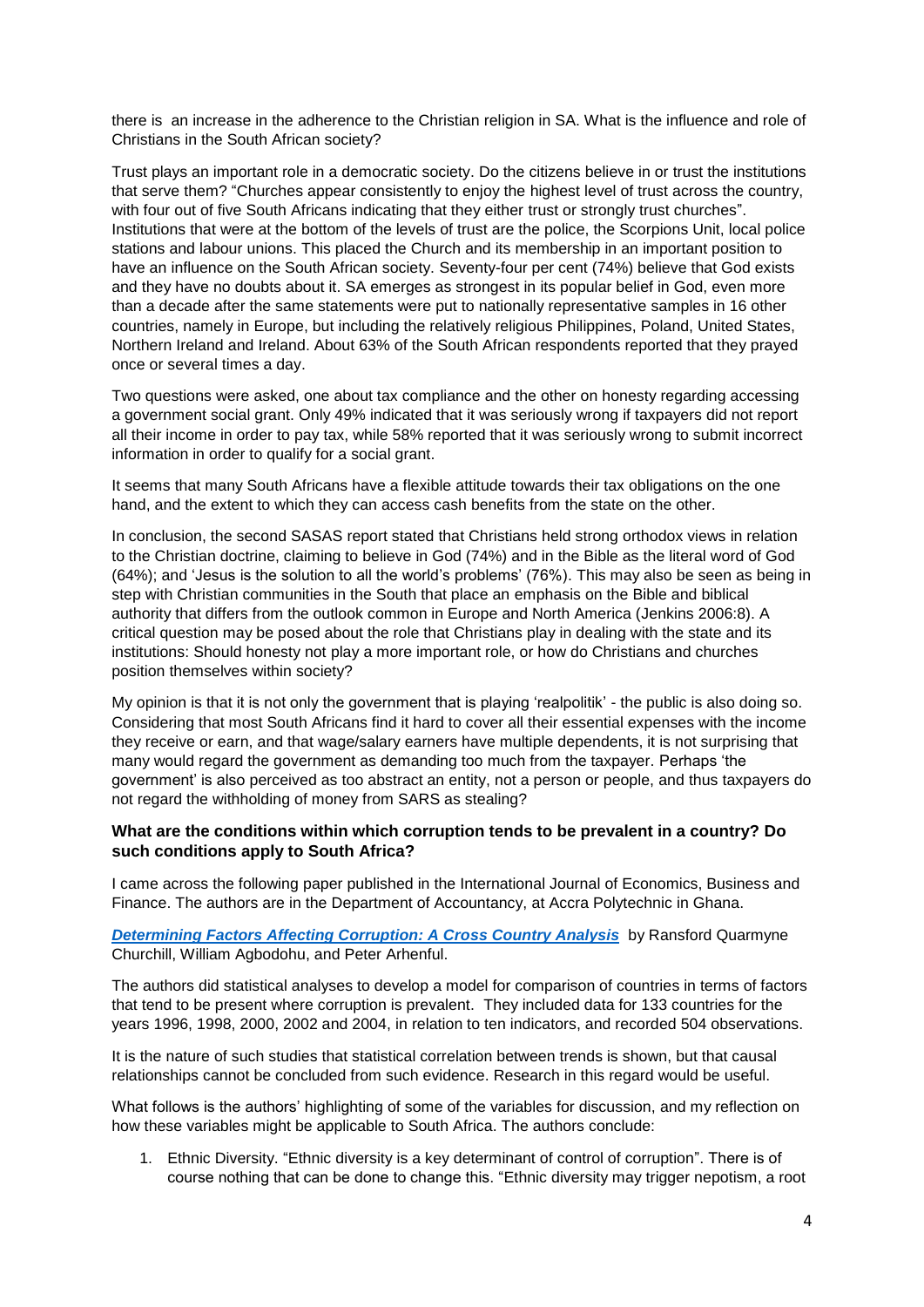there is an increase in the adherence to the Christian religion in SA. What is the influence and role of Christians in the South African society?

Trust plays an important role in a democratic society. Do the citizens believe in or trust the institutions that serve them? "Churches appear consistently to enjoy the highest level of trust across the country, with four out of five South Africans indicating that they either trust or strongly trust churches". Institutions that were at the bottom of the levels of trust are the police, the Scorpions Unit, local police stations and labour unions. This placed the Church and its membership in an important position to have an influence on the South African society. Seventy-four per cent (74%) believe that God exists and they have no doubts about it. SA emerges as strongest in its popular belief in God, even more than a decade after the same statements were put to nationally representative samples in 16 other countries, namely in Europe, but including the relatively religious Philippines, Poland, United States, Northern Ireland and Ireland. About 63% of the South African respondents reported that they prayed once or several times a day.

Two questions were asked, one about tax compliance and the other on honesty regarding accessing a government social grant. Only 49% indicated that it was seriously wrong if taxpayers did not report all their income in order to pay tax, while 58% reported that it was seriously wrong to submit incorrect information in order to qualify for a social grant.

It seems that many South Africans have a flexible attitude towards their tax obligations on the one hand, and the extent to which they can access cash benefits from the state on the other.

In conclusion, the second SASAS report stated that Christians held strong orthodox views in relation to the Christian doctrine, claiming to believe in God (74%) and in the Bible as the literal word of God (64%); and 'Jesus is the solution to all the world's problems' (76%). This may also be seen as being in step with Christian communities in the South that place an emphasis on the Bible and biblical authority that differs from the outlook common in Europe and North America (Jenkins [2006:](https://hts.org.za/index.php/hts/article/view/3837/9246#CIT0008_3837)8). A critical question may be posed about the role that Christians play in dealing with the state and its institutions: Should honesty not play a more important role, or how do Christians and churches position themselves within society?

My opinion is that it is not only the government that is playing 'realpolitik' - the public is also doing so. Considering that most South Africans find it hard to cover all their essential expenses with the income they receive or earn, and that wage/salary earners have multiple dependents, it is not surprising that many would regard the government as demanding too much from the taxpayer. Perhaps 'the government' is also perceived as too abstract an entity, not a person or people, and thus taxpayers do not regard the withholding of money from SARS as stealing?

#### **What are the conditions within which corruption tends to be prevalent in a country? Do such conditions apply to South Africa?**

I came across the following paper published in the International Journal of Economics, Business and Finance. The authors are in the Department of Accountancy, at Accra Polytechnic in Ghana.

*[Determining Factors Affecting Corruption: A Cross Country Analysis](http://www.ijebf.com/IJEBF_Vol.%201,%20No.%2010,%20November%202013/Determining%20Factors%20.pdf)* by Ransford Quarmyne Churchill, William Agbodohu, and Peter Arhenful.

The authors did statistical analyses to develop a model for comparison of countries in terms of factors that tend to be present where corruption is prevalent. They included data for 133 countries for the years 1996, 1998, 2000, 2002 and 2004, in relation to ten indicators, and recorded 504 observations.

It is the nature of such studies that statistical correlation between trends is shown, but that causal relationships cannot be concluded from such evidence. Research in this regard would be useful.

What follows is the authors' highlighting of some of the variables for discussion, and my reflection on how these variables might be applicable to South Africa. The authors conclude:

1. Ethnic Diversity. "Ethnic diversity is a key determinant of control of corruption". There is of course nothing that can be done to change this. "Ethnic diversity may trigger nepotism, a root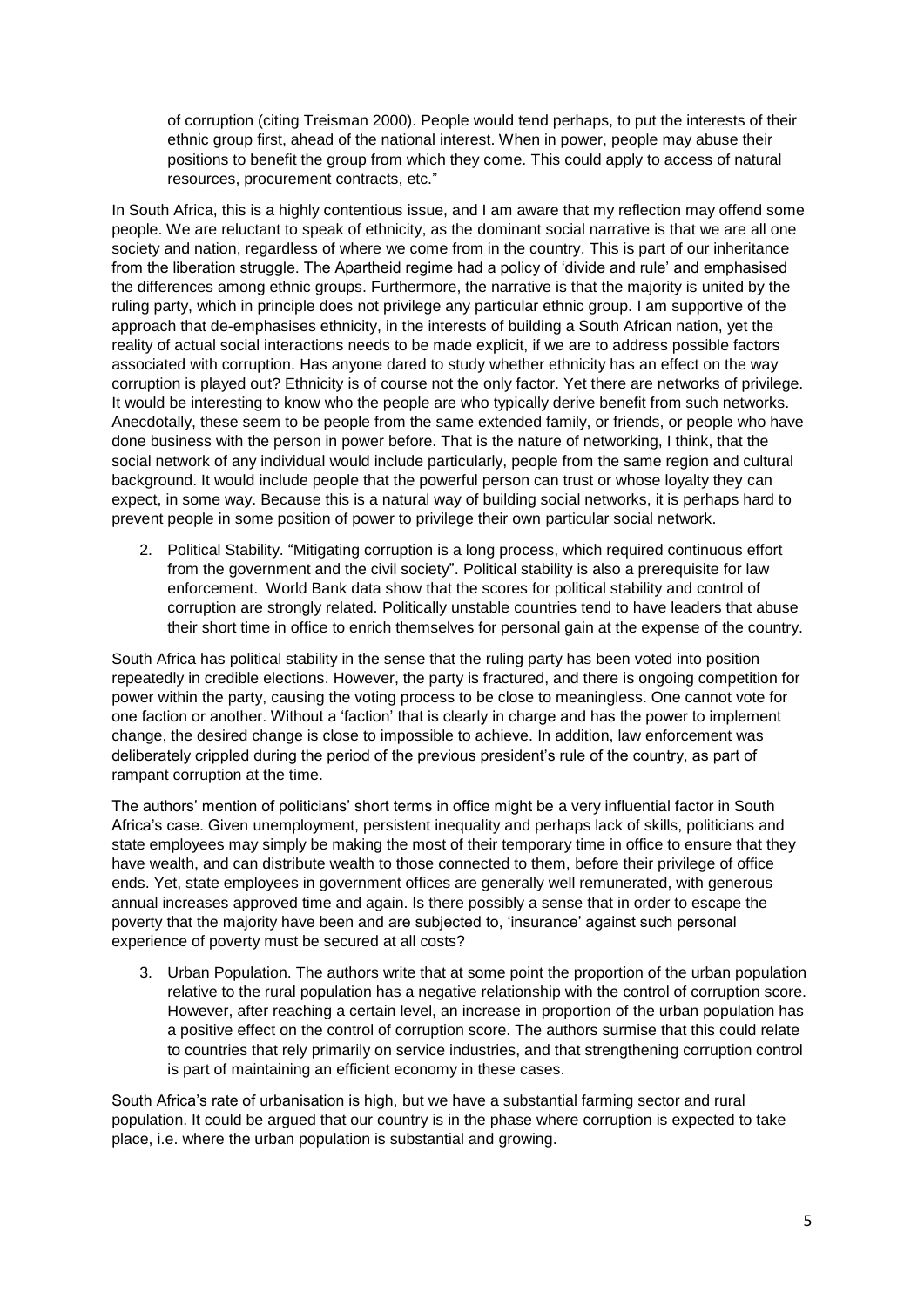of corruption (citing Treisman 2000). People would tend perhaps, to put the interests of their ethnic group first, ahead of the national interest. When in power, people may abuse their positions to benefit the group from which they come. This could apply to access of natural resources, procurement contracts, etc."

In South Africa, this is a highly contentious issue, and I am aware that my reflection may offend some people. We are reluctant to speak of ethnicity, as the dominant social narrative is that we are all one society and nation, regardless of where we come from in the country. This is part of our inheritance from the liberation struggle. The Apartheid regime had a policy of 'divide and rule' and emphasised the differences among ethnic groups. Furthermore, the narrative is that the majority is united by the ruling party, which in principle does not privilege any particular ethnic group. I am supportive of the approach that de-emphasises ethnicity, in the interests of building a South African nation, yet the reality of actual social interactions needs to be made explicit, if we are to address possible factors associated with corruption. Has anyone dared to study whether ethnicity has an effect on the way corruption is played out? Ethnicity is of course not the only factor. Yet there are networks of privilege. It would be interesting to know who the people are who typically derive benefit from such networks. Anecdotally, these seem to be people from the same extended family, or friends, or people who have done business with the person in power before. That is the nature of networking, I think, that the social network of any individual would include particularly, people from the same region and cultural background. It would include people that the powerful person can trust or whose loyalty they can expect, in some way. Because this is a natural way of building social networks, it is perhaps hard to prevent people in some position of power to privilege their own particular social network.

2. Political Stability. "Mitigating corruption is a long process, which required continuous effort from the government and the civil society". Political stability is also a prerequisite for law enforcement. World Bank data show that the scores for political stability and control of corruption are strongly related. Politically unstable countries tend to have leaders that abuse their short time in office to enrich themselves for personal gain at the expense of the country.

South Africa has political stability in the sense that the ruling party has been voted into position repeatedly in credible elections. However, the party is fractured, and there is ongoing competition for power within the party, causing the voting process to be close to meaningless. One cannot vote for one faction or another. Without a 'faction' that is clearly in charge and has the power to implement change, the desired change is close to impossible to achieve. In addition, law enforcement was deliberately crippled during the period of the previous president's rule of the country, as part of rampant corruption at the time.

The authors' mention of politicians' short terms in office might be a very influential factor in South Africa's case. Given unemployment, persistent inequality and perhaps lack of skills, politicians and state employees may simply be making the most of their temporary time in office to ensure that they have wealth, and can distribute wealth to those connected to them, before their privilege of office ends. Yet, state employees in government offices are generally well remunerated, with generous annual increases approved time and again. Is there possibly a sense that in order to escape the poverty that the majority have been and are subjected to, 'insurance' against such personal experience of poverty must be secured at all costs?

3. Urban Population. The authors write that at some point the proportion of the urban population relative to the rural population has a negative relationship with the control of corruption score. However, after reaching a certain level, an increase in proportion of the urban population has a positive effect on the control of corruption score. The authors surmise that this could relate to countries that rely primarily on service industries, and that strengthening corruption control is part of maintaining an efficient economy in these cases.

South Africa's rate of urbanisation is high, but we have a substantial farming sector and rural population. It could be argued that our country is in the phase where corruption is expected to take place, i.e. where the urban population is substantial and growing.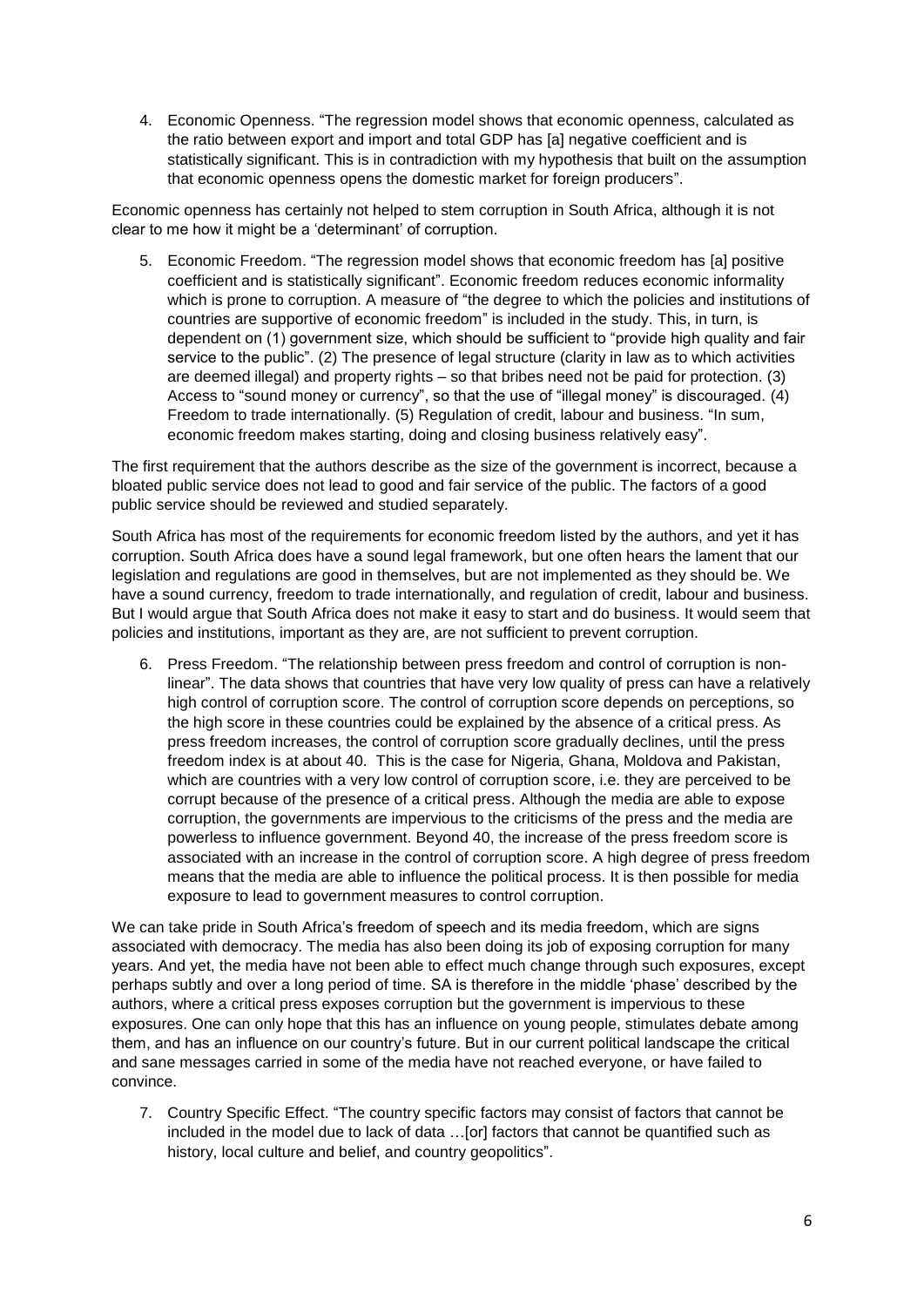4. Economic Openness. "The regression model shows that economic openness, calculated as the ratio between export and import and total GDP has [a] negative coefficient and is statistically significant. This is in contradiction with my hypothesis that built on the assumption that economic openness opens the domestic market for foreign producers".

Economic openness has certainly not helped to stem corruption in South Africa, although it is not clear to me how it might be a 'determinant' of corruption.

5. Economic Freedom. "The regression model shows that economic freedom has [a] positive coefficient and is statistically significant". Economic freedom reduces economic informality which is prone to corruption. A measure of "the degree to which the policies and institutions of countries are supportive of economic freedom" is included in the study. This, in turn, is dependent on (1) government size, which should be sufficient to "provide high quality and fair service to the public". (2) The presence of legal structure (clarity in law as to which activities are deemed illegal) and property rights – so that bribes need not be paid for protection. (3) Access to "sound money or currency", so that the use of "illegal money" is discouraged. (4) Freedom to trade internationally. (5) Regulation of credit, labour and business. "In sum, economic freedom makes starting, doing and closing business relatively easy".

The first requirement that the authors describe as the size of the government is incorrect, because a bloated public service does not lead to good and fair service of the public. The factors of a good public service should be reviewed and studied separately.

South Africa has most of the requirements for economic freedom listed by the authors, and yet it has corruption. South Africa does have a sound legal framework, but one often hears the lament that our legislation and regulations are good in themselves, but are not implemented as they should be. We have a sound currency, freedom to trade internationally, and regulation of credit, labour and business. But I would argue that South Africa does not make it easy to start and do business. It would seem that policies and institutions, important as they are, are not sufficient to prevent corruption.

6. Press Freedom. "The relationship between press freedom and control of corruption is nonlinear". The data shows that countries that have very low quality of press can have a relatively high control of corruption score. The control of corruption score depends on perceptions, so the high score in these countries could be explained by the absence of a critical press. As press freedom increases, the control of corruption score gradually declines, until the press freedom index is at about 40. This is the case for Nigeria, Ghana, Moldova and Pakistan, which are countries with a very low control of corruption score, i.e. they are perceived to be corrupt because of the presence of a critical press. Although the media are able to expose corruption, the governments are impervious to the criticisms of the press and the media are powerless to influence government. Beyond 40, the increase of the press freedom score is associated with an increase in the control of corruption score. A high degree of press freedom means that the media are able to influence the political process. It is then possible for media exposure to lead to government measures to control corruption.

We can take pride in South Africa's freedom of speech and its media freedom, which are signs associated with democracy. The media has also been doing its job of exposing corruption for many years. And yet, the media have not been able to effect much change through such exposures, except perhaps subtly and over a long period of time. SA is therefore in the middle 'phase' described by the authors, where a critical press exposes corruption but the government is impervious to these exposures. One can only hope that this has an influence on young people, stimulates debate among them, and has an influence on our country's future. But in our current political landscape the critical and sane messages carried in some of the media have not reached everyone, or have failed to convince.

7. Country Specific Effect. "The country specific factors may consist of factors that cannot be included in the model due to lack of data …[or] factors that cannot be quantified such as history, local culture and belief, and country geopolitics".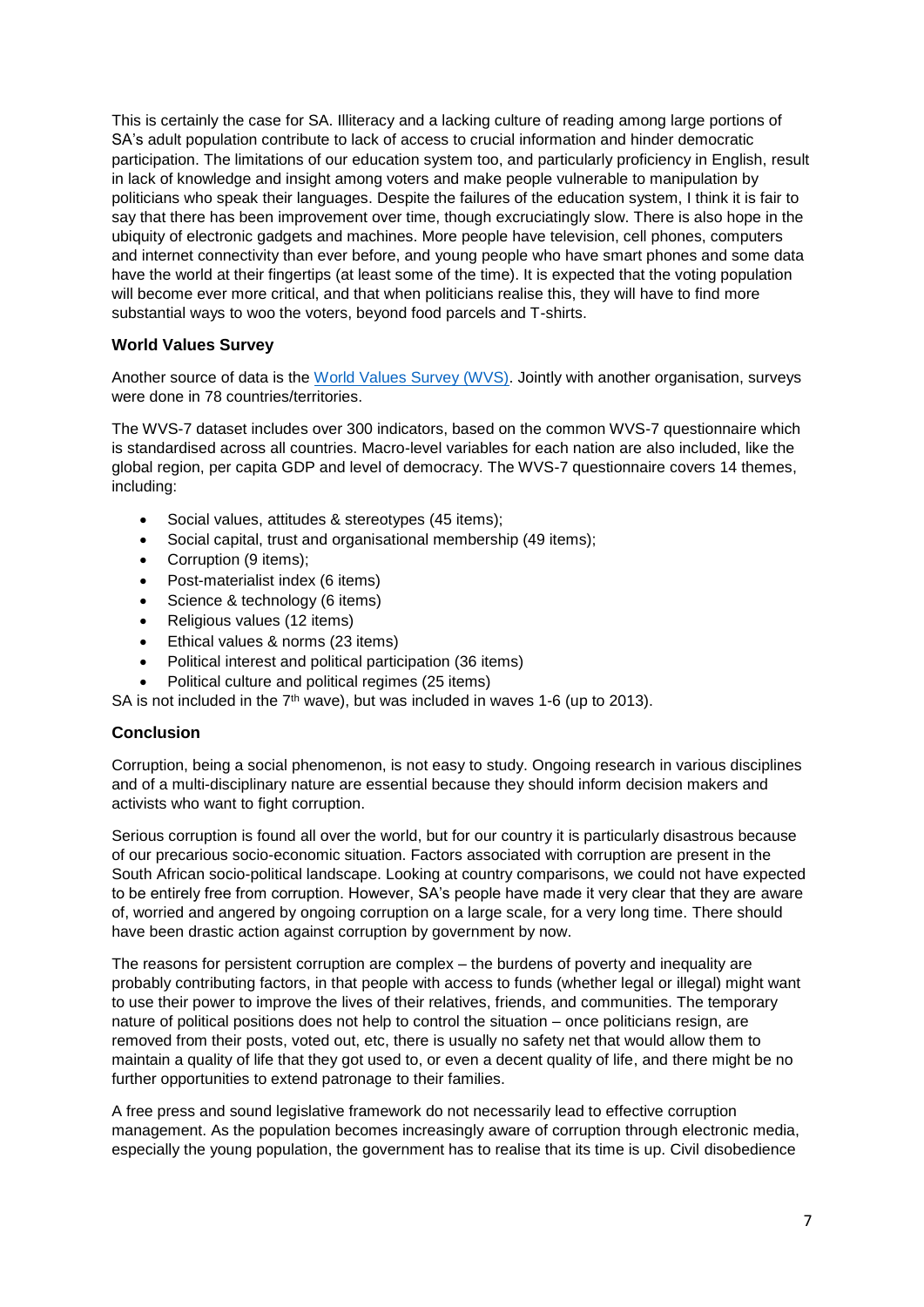This is certainly the case for SA. Illiteracy and a lacking culture of reading among large portions of SA's adult population contribute to lack of access to crucial information and hinder democratic participation. The limitations of our education system too, and particularly proficiency in English, result in lack of knowledge and insight among voters and make people vulnerable to manipulation by politicians who speak their languages. Despite the failures of the education system, I think it is fair to say that there has been improvement over time, though excruciatingly slow. There is also hope in the ubiquity of electronic gadgets and machines. More people have television, cell phones, computers and internet connectivity than ever before, and young people who have smart phones and some data have the world at their fingertips (at least some of the time). It is expected that the voting population will become ever more critical, and that when politicians realise this, they will have to find more substantial ways to woo the voters, beyond food parcels and T-shirts.

# **World Values Survey**

Another source of data is the [World Values Survey \(WVS\).](https://www.worldvaluessurvey.org/wvs.jsp) Jointly with another organisation, surveys were done in 78 countries/territories.

The WVS-7 dataset includes over 300 indicators, based on the common WVS-7 questionnaire which is standardised across all countries. Macro-level variables for each nation are also included, like the global region, per capita GDP and level of democracy. The WVS-7 questionnaire covers 14 themes, including:

- Social values, attitudes & stereotypes (45 items);
- Social capital, trust and organisational membership (49 items);
- Corruption (9 items);
- Post-materialist index (6 items)
- Science & technology (6 items)
- Religious values (12 items)
- Ethical values & norms (23 items)
- Political interest and political participation (36 items)
- Political culture and political regimes (25 items)

SA is not included in the  $7<sup>th</sup>$  wave), but was included in waves 1-6 (up to 2013).

# **Conclusion**

Corruption, being a social phenomenon, is not easy to study. Ongoing research in various disciplines and of a multi-disciplinary nature are essential because they should inform decision makers and activists who want to fight corruption.

Serious corruption is found all over the world, but for our country it is particularly disastrous because of our precarious socio-economic situation. Factors associated with corruption are present in the South African socio-political landscape. Looking at country comparisons, we could not have expected to be entirely free from corruption. However, SA's people have made it very clear that they are aware of, worried and angered by ongoing corruption on a large scale, for a very long time. There should have been drastic action against corruption by government by now.

The reasons for persistent corruption are complex – the burdens of poverty and inequality are probably contributing factors, in that people with access to funds (whether legal or illegal) might want to use their power to improve the lives of their relatives, friends, and communities. The temporary nature of political positions does not help to control the situation – once politicians resign, are removed from their posts, voted out, etc, there is usually no safety net that would allow them to maintain a quality of life that they got used to, or even a decent quality of life, and there might be no further opportunities to extend patronage to their families.

A free press and sound legislative framework do not necessarily lead to effective corruption management. As the population becomes increasingly aware of corruption through electronic media, especially the young population, the government has to realise that its time is up. Civil disobedience